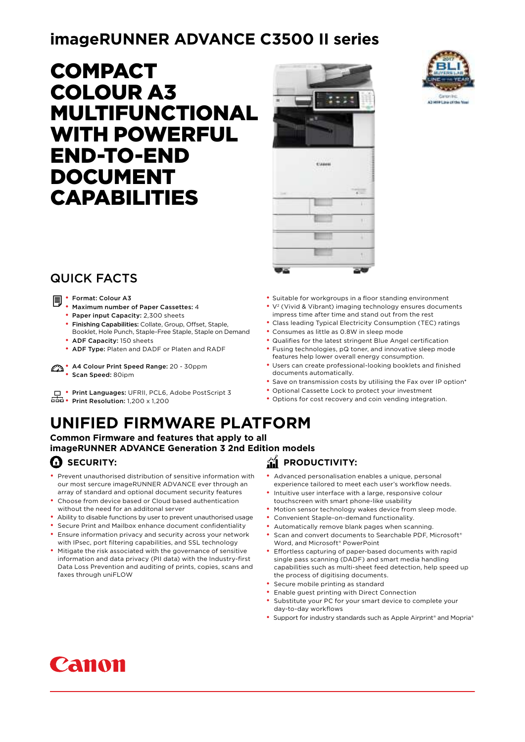## **imageRUNNER ADVANCE C3500 II series**

# COMPACT COLOUR A3 MULTIFUNCTIONAL WITH POWERFUL END-TO-END DOCUMENT CAPABILITIES





## QUICK FACTS

- • Format: Colour A3
	- Maximum number of Paper Cassettes: 4
	- Paper input Capacity: 2,300 sheets
	- Finishing Capabilities: Collate, Group, Offset, Staple, Booklet, Hole Punch, Staple-Free Staple, Staple on Demand
	- ADF Capacity: 150 sheets
	- ADF Type: Platen and DADF or Platen and RADF
- A4 Colour Print Speed Range: 20 30ppm
	- Scan Speed: 80ipm
- **Print Languages: UFRII, PCL6, Adobe PostScript 3**
- Print Resolution: 1,200 x 1,200

## **UNIFIED FIRMWARE PLATFORM**

**Common Firmware and features that apply to all imageRUNNER ADVANCE Generation 3 2nd Edition models**

### **C** SECURITY:

- Prevent unauthorised distribution of sensitive information with our most sercure imageRUNNER ADVANCE ever through an array of standard and optional document security features
- Choose from device based or Cloud based authentication without the need for an additonal server
- Ability to disable functions by user to prevent unauthorised usage
- Secure Print and Mailbox enhance document confidentiality
- Ensure information privacy and security across your network with IPsec, port filtering capabilities, and SSL technology
- Mitigate the risk associated with the governance of sensitive information and data privacy (PII data) with the Industry-first Data Loss Prevention and auditing of prints, copies, scans and faxes through uniFLOW
- Suitable for workgroups in a floor standing environment • V<sup>2</sup> (Vivid & Vibrant) imaging technology ensures documents
- impress time after time and stand out from the rest
- Class leading Typical Electricity Consumption (TEC) ratings
- Consumes as little as 0.8W in sleep mode
- Qualifies for the latest stringent Blue Angel certification
- Fusing technologies, pQ toner, and innovative sleep mode features help lower overall energy consumption.
- Users can create professional-looking booklets and finished documents automatically.
- Save on transmission costs by utilising the Fax over IP option\*
- Optional Cassette Lock to protect your investment
- Options for cost recovery and coin vending integration.

# **FRODUCTIVITY:**

- Advanced personalisation enables a unique, personal experience tailored to meet each user's workflow needs.
- Intuitive user interface with a large, responsive colour touchscreen with smart phone-like usability
- Motion sensor technology wakes device from sleep mode.
- Convenient Staple-on-demand functionality.
- Automatically remove blank pages when scanning.
- Scan and convert documents to Searchable PDF, Microsoft® Word, and Microsoft® PowerPoint
- Effortless capturing of paper-based documents with rapid single pass scanning (DADF) and smart media handling capabilities such as multi-sheet feed detection, help speed up the process of digitising documents.
- Secure mobile printing as standard
- Enable guest printing with Direct Connection
- Substitute your PC for your smart device to complete your day-to-day workflows
- Support for industry standards such as Apple Airprint® and Mopria®

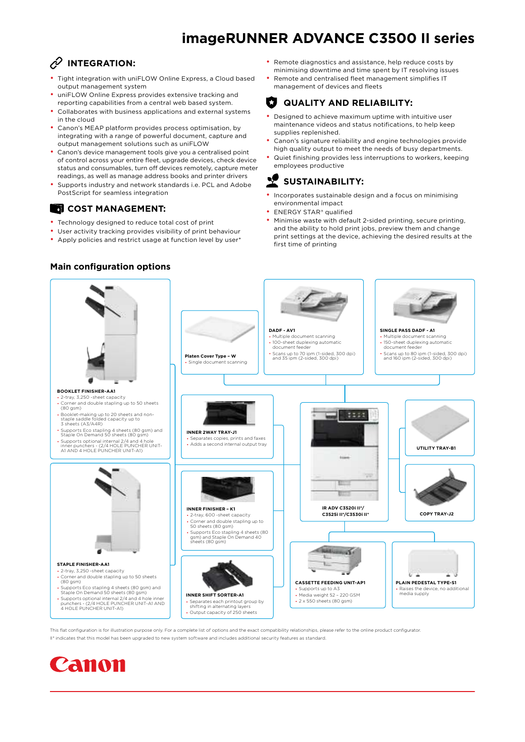## **imageRUNNER ADVANCE C3500 II series**

## *P* INTEGRATION:

- Tight integration with uniFLOW Online Express, a Cloud based output management system
- uniFLOW Online Express provides extensive tracking and reporting capabilities from a central web based system.
- Collaborates with business applications and external systems in the cloud
- Canon's MEAP platform provides process optimisation, by integrating with a range of powerful document, capture and output management solutions such as uniFLOW
- Canon's device management tools give you a centralised point of control across your entire fleet, upgrade devices, check device status and consumables, turn off devices remotely, capture meter readings, as well as manage address books and printer drivers
- Supports industry and network standards i.e. PCL and Adobe PostScript for seamless integration

### **COST MANAGEMENT:**

- Technology designed to reduce total cost of print
- User activity tracking provides visibility of print behaviour
- Apply policies and restrict usage at function level by user\*
- Remote diagnostics and assistance, help reduce costs by minimising downtime and time spent by IT resolving issues
- Remote and centralised fleet management simplifies IT management of devices and fleets

#### IJ **QUALITY AND RELIABILITY:**

- Designed to achieve maximum uptime with intuitive user maintenance videos and status notifications, to help keep supplies replenished.
- Canon's signature reliability and engine technologies provide high quality output to meet the needs of busy departments.
- Quiet finishing provides less interruptions to workers, keeping employees productive

#### Ņ **SUSTAINABILITY:**

- Incorporates sustainable design and a focus on minimising environmental impact
- ENERGY STAR® qualified
- Minimise waste with default 2-sided printing, secure printing, and the ability to hold print jobs, preview them and change print settings at the device, achieving the desired results at the first time of printing



This flat configuration is for illustration purpose only. For a complete list of options and the exact compatibility relationships, please refer to the online product configurator II\* indicates that this model has been upgraded to new system software and includes additional security features as standard.



#### **Main configuration options**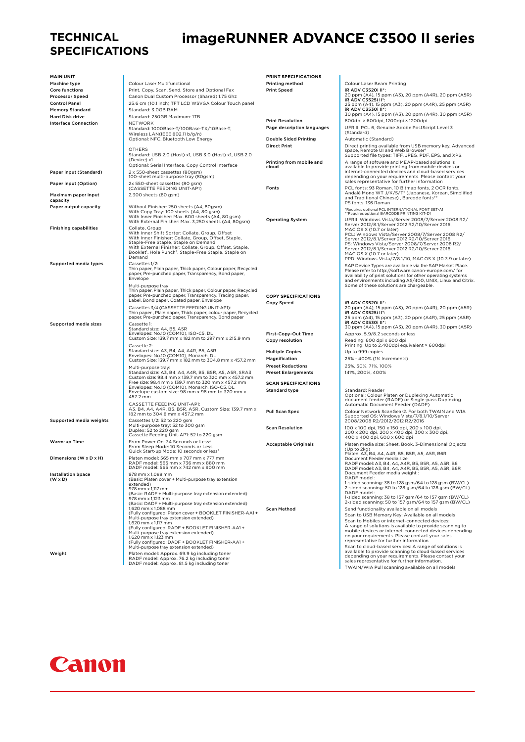### **TECHNICAL SPECIFICATIONS**

## **imageRUNNER ADVANCE C3500 II series**

| <b>MAIN UNIT</b>                                |                                                                                                                                                        | PRINT SPECIFICATIONS                               |                                                                                                                                                                                    |
|-------------------------------------------------|--------------------------------------------------------------------------------------------------------------------------------------------------------|----------------------------------------------------|------------------------------------------------------------------------------------------------------------------------------------------------------------------------------------|
| <b>Machine type</b>                             | Colour Laser Multifunctional                                                                                                                           | Printing method                                    | Colour Laser Beam Printing<br>iR ADV C3520i II*:                                                                                                                                   |
| <b>Core functions</b><br><b>Processor Speed</b> | Print, Copy, Scan, Send, Store and Optional Fax<br>Canon Dual Custom Processor (Shared) 1.75 Ghz                                                       | <b>Print Speed</b>                                 | 20 ppm (A4), 15 ppm (A3), 20 ppm (A4R), 20 ppm (A5R)                                                                                                                               |
| <b>Control Panel</b>                            | 25.6 cm (10.1 inch) TFT LCD WSVGA Colour Touch panel                                                                                                   |                                                    | iR ADV C3525i II*:                                                                                                                                                                 |
| <b>Memory Standard</b>                          | Standard: 3.0GB RAM                                                                                                                                    |                                                    | 25 ppm (A4), 15 ppm (A3), 20 ppm (A4R), 25 ppm (A5R)<br>IR ADV C3530I II*:                                                                                                         |
| <b>Hard Disk drive</b>                          | Standard: 250GB Maximum: 1TB                                                                                                                           |                                                    | 30 ppm (A4), 15 ppm (A3), 20 ppm (A4R), 30 ppm (A5R)                                                                                                                               |
| <b>Interface Connection</b>                     | <b>NETWORK</b>                                                                                                                                         | <b>Print Resolution</b>                            | 600dpi × 600dpi, 1200dpi × 1200dpi                                                                                                                                                 |
|                                                 | Standard: 1000Base-T/100Base-TX/10Base-T,<br>Wireless LAN(IEEE 802.11 b/g/n)                                                                           | Page description languages                         | UFR II, PCL 6, Genuine Adobe PostScript Level 3<br>(Standard)                                                                                                                      |
|                                                 | Optional: NFC, Bluetooth Low Energy                                                                                                                    | <b>Double Sided Printing</b>                       | Automatic (Standard)                                                                                                                                                               |
|                                                 | <b>OTHERS</b>                                                                                                                                          | <b>Direct Print</b>                                | Direct printing available from USB memory key, Advanced                                                                                                                            |
|                                                 | Standard: USB 2.0 (Host) x1, USB 3.0 (Host) x1, USB 2.0                                                                                                |                                                    | space, Remote UI and Web Browser <sup>4</sup><br>Supported file types: TIFF, JPEG, PDF, EPS, and XPS.                                                                              |
|                                                 | (Device) x1                                                                                                                                            | Printing from mobile and                           | A range of software and MEAP-based solutions is                                                                                                                                    |
|                                                 | Optional: Serial Interface, Copy Control Interface                                                                                                     | cloud                                              | available to provide printing from mobile devices or                                                                                                                               |
| Paper input (Standard)                          | 2 x 550-sheet cassettes (80gsm)<br>100-sheet multi-purpose tray (80gsm)                                                                                |                                                    | internet-connected devices and cloud-based services<br>depending on your requirements. Please contact your<br>sales representative for further information                         |
| Paper input (Option)                            | 2x 550-sheet cassettes (80 gsm)<br>(CASSETTE FEEDING UNIT-AP1)                                                                                         | Fonts                                              | PCL fonts: 93 Roman, 10 Bitmap fonts, 2 OCR fonts,                                                                                                                                 |
| Maximum paper input<br>capacity                 | 2,300 sheets (80 gsm)                                                                                                                                  |                                                    | Andalé Mono WT J/K/S/T* (Japanese, Korean, Simplified<br>and Traditional Chinese), Barcode fonts**<br>PS fonts: 136 Roman                                                          |
| Paper output capacity                           | Without Finisher: 250 sheets (A4, 80gsm)                                                                                                               |                                                    | *Requires optional PCL INTERNATIONAL FONT SET-A1                                                                                                                                   |
|                                                 | With Copy Tray: 100 sheets (A4, 80 gsm)<br>With Inner Finisher: Max. 600 sheets (A4, 80 gsm)                                                           | <b>Operating System</b>                            | **Requires optional BARCODE PRINTING KIT-D1<br>UFRII: Windows Vista/Server 2008/7/Server 2008 R2/                                                                                  |
|                                                 | With External Finisher: Max. 3,250 sheets (A4, 80gsm)<br>Collate, Group                                                                                |                                                    | Server 2012/8.1/Server 2012 R2/10/Server 2016,                                                                                                                                     |
| <b>Finishing capabilities</b>                   | With Inner Shift Sorter: Collate, Group, Offset<br>With Inner Finisher: Collate, Group, Offset, Staple,<br>Staple-Free Staple, Staple on Demand        |                                                    | MAC OS X (10.7 or later)<br>PCL: Windows Vista/Server 2008/7/Server 2008 R2/<br>Server 2012/8.1/Server 2012 R2/10/Server 2016<br>PS: Windows Vista/Server 2008/7/Server 2008 R2/   |
|                                                 | With External Finisher: Collate, Group, Offset, Staple,<br>Booklet <sup>1</sup> , Hole Punch <sup>2</sup> , Staple-Free Staple, Staple on<br>Demand    |                                                    | Server 2012/8.1/Server 2012 R2/10/Server 2016,<br>MAC OS X (10.7 or later)<br>PPD: Windows Vista/7/8.1/10, MAC OS X (10.3.9 or later)                                              |
| Supported media types                           | Cassettes 1/2:                                                                                                                                         |                                                    | SAP Device Types are available via the SAP Market Place.                                                                                                                           |
|                                                 | Thin paper, Plain paper, Thick paper, Colour paper, Recycled<br>paper, Pre-punched paper, Transparency, Bond paper,<br>Envelope                        |                                                    | Please refer to http://software.canon-europe.com/ for<br>availability of print solutions for other operating systems<br>and environments including AS/400, UNIX, Linux and Citrix. |
|                                                 | Multi-purpose tray:                                                                                                                                    |                                                    | Some of these solutions are chargeable.                                                                                                                                            |
|                                                 | Thin paper, Plain paper, Thick paper, Colour paper, Recycled<br>paper, Pre-punched paper, Transparency, Tracing paper,                                 | <b>COPY SPECIFICATIONS</b>                         |                                                                                                                                                                                    |
|                                                 | Label, Bond paper, Coated paper, Envelope<br>Cassettes 3/4 (CASSETTE FEEDING UNIT-AP1):                                                                | Copy Speed                                         | iR ADV C3520i II*:                                                                                                                                                                 |
|                                                 | Thin paper, Plain paper, Thick paper, colour paper, Recycled<br>paper, Pre-punched paper, Transparency, Bond paper                                     |                                                    | 20 ppm (A4), 15 ppm (A3), 20 ppm (A4R), 20 ppm (A5R)<br>iR ADV C3525i II*:<br>25 ppm (A4), 15 ppm (A3), 20 ppm (A4R), 25 ppm (A5R)                                                 |
| <b>Supported media sizes</b>                    | Cassette 1:<br>Standard size: A4, B5, A5R                                                                                                              |                                                    | iR ADV C3530i II*:<br>30 ppm (A4), 15 ppm (A3), 20 ppm (A4R), 30 ppm (A5R)                                                                                                         |
|                                                 | Envelopes: No.10 (COM10), ISO-C5, DL                                                                                                                   | First-Copy-Out Time                                | Approx. 5.9/8.2 seconds or less                                                                                                                                                    |
|                                                 | Custom Size: 139.7 mm x 182 mm to 297 mm x 215.9 mm<br>Cassette 2:                                                                                     | Copy resolution                                    | Reading: 600 dpi x 600 dpi<br>Printing: Up to 2,400dpi equivalent × 600dpi                                                                                                         |
|                                                 | Standard size: A3, B4, A4, A4R, B5, A5R                                                                                                                | <b>Multiple Copies</b>                             | Up to 999 copies                                                                                                                                                                   |
|                                                 | Envelopes: No.10 (COM10), Monarch, DL<br>Custom Size: 139.7 mm x 182 mm to 304.8 mm x 457.2 mm                                                         | Magnification                                      | 25% - 400% (1% Increments)                                                                                                                                                         |
|                                                 | Multi-purpose tray:                                                                                                                                    | <b>Preset Reductions</b>                           | 25%, 50%, 71%, 100%                                                                                                                                                                |
|                                                 | Standard size: A3, B4, A4, A4R, B5, B5R, A5, A5R, SRA3                                                                                                 | <b>Preset Enlargements</b>                         | 141%, 200%, 400%                                                                                                                                                                   |
|                                                 | Custom size: 98.4 mm x 139.7 mm to 320 mm x 457.2 mm                                                                                                   |                                                    |                                                                                                                                                                                    |
|                                                 | Free size: 98.4 mm x 139.7 mm to 320 mm x 457.2 mm<br>Envelopes: No.10 (COM10), Monarch, ISO-C5, DL<br>Envelope custom size: 98 mm x 98 mm to 320 mm x | <b>SCAN SPECIFICATIONS</b><br><b>Standard type</b> | Standard: Reader                                                                                                                                                                   |
|                                                 | 457.2 mm                                                                                                                                               |                                                    | Optional: Colour Platen or Duplexing Automatic<br>document feeder (RADF) or Single-pass Duplexing                                                                                  |
|                                                 | CASSETTE FEEDING UNIT-AP1:                                                                                                                             |                                                    | Automatic Document Feeder (DADF)                                                                                                                                                   |
| Supported media weights                         | A3, B4, A4, A4R, B5, B5R, A5R, Custom Size: 139.7 mm x<br>182 mm to 304.8 mm x 457.2 mm<br>Cassettes 1/2: 52 to 220 gsm                                | <b>Pull Scan Spec</b>                              | Colour Network ScanGear2. For both TWAIN and WIA<br>Supported OS: Windows Vista/7/8.1/10/Server                                                                                    |
|                                                 | Multi-purpose tray: 52 to 300 gsm                                                                                                                      | <b>Scan Resolution</b>                             | 2008/2008 R2/2012/2012 R2/2016<br>100 x 100 dpi, 150 x 150 dpi, 200 x 100 dpi,                                                                                                     |
|                                                 | Duplex: 52 to 220 gsm<br>Cassette Feeding Unit-AP1: 52 to 220 gsm                                                                                      |                                                    | 200 x 200 dpi, 200 x 400 dpi, 300 x 300 dpi,<br>400 x 400 dpi, 600 x 600 dpi                                                                                                       |
| Warm-up Time                                    | From Power On: 34 Seconds or Less <sup>3</sup><br>From Sleep Mode: 10 Seconds or Less<br>Quick Start-up Mode: 10 seconds or less <sup>3</sup>          | <b>Acceptable Originals</b>                        | Platen media size: Sheet, Book, 3-Dimensional Objects<br>(Up to 2kg)                                                                                                               |
| Dimensions (W x D x H)                          | Platen model: 565 mm x 707 mm x 777 mm<br>RADF model: 565 mm x 736 mm x 880 mm<br>DADF model: 565 mm x 742 mm x 900 mm                                 |                                                    | Platen: A3, B4, A4, A4R, B5, B5R, A5, A5R, B6R<br>Document Feeder media size:<br>RADE model: A3 R4 A4 A4R R5 R5R A5 A5R R6                                                         |
| <b>Installation Space</b>                       | 978 mm x 1,088 mm                                                                                                                                      |                                                    | DADF model: A3, B4, A4, A4R, B5, B5R, A5, A5R, B6R<br>Document Feeder media weight :                                                                                               |
| $(W \times D)$                                  | (Basic: Platen cover + Multi-purpose tray extension                                                                                                    |                                                    | RADF model:                                                                                                                                                                        |
|                                                 | extended)<br>978 mm x 1,117 mm                                                                                                                         |                                                    | 1-sided scanning: 38 to 128 gsm/64 to 128 gsm (BW/CL)<br>2-sided scanning: 50 to 128 gsm/64 to 128 gsm (BW/CL)                                                                     |
|                                                 | (Basic: RADF + Multi-purpose tray extension extended)                                                                                                  |                                                    | DADF model:                                                                                                                                                                        |
|                                                 | 978 mm x 1,123 mm<br>(Basic: DADF + Multi-purpose tray extension extended)                                                                             |                                                    | 1-sided scanning: 38 to 157 gsm/64 to 157 gsm (BW/CL)<br>2-sided scanning: 50 to 157 gsm/64 to 157 gsm (BW/CL)                                                                     |
|                                                 | 1.620 mm x 1.088 mm                                                                                                                                    | <b>Scan Method</b>                                 | Send functionality available on all models                                                                                                                                         |
|                                                 | (Fully configured: Platen cover + BOOKLET FINISHER-AA1 +                                                                                               |                                                    | Scan to USB Memory Key: Available on all models                                                                                                                                    |
|                                                 | Multi-purpose tray extension extended)<br>1.620 mm x 1.117 mm                                                                                          |                                                    | Scan to Mobiles or internet-connected devices:                                                                                                                                     |
|                                                 | (Fully configured: RADF + BOOKLET FINISHER-AA1+                                                                                                        |                                                    | A range of solutions is available to provide scanning to<br>mobile devices or internet-connected devices depending                                                                 |
|                                                 | Multi-purpose tray extension extended)<br>1.620 mm x 1.123 mm                                                                                          |                                                    | on your requirements. Please contact your sales                                                                                                                                    |
|                                                 | (Fully configured: DADF + BOOKLET FINISHER-AA1 +                                                                                                       |                                                    | representative for further information                                                                                                                                             |
|                                                 | Multi-purpose tray extension extended)                                                                                                                 |                                                    | Scan to cloud-based services: A range of solutions is<br>available to provide scanning to cloud-based services                                                                     |
| Weight                                          | Platen model: Approx. 69.9 kg including toner<br>RADF model: Approx. 76.2 kg including toner                                                           |                                                    | depending on your requirements. Please contact your                                                                                                                                |
|                                                 | DADF model: Approx. 81.5 kg including toner                                                                                                            |                                                    | sales representative for further information.<br>TWAIN/WIA Pull scanning available on all models                                                                                   |